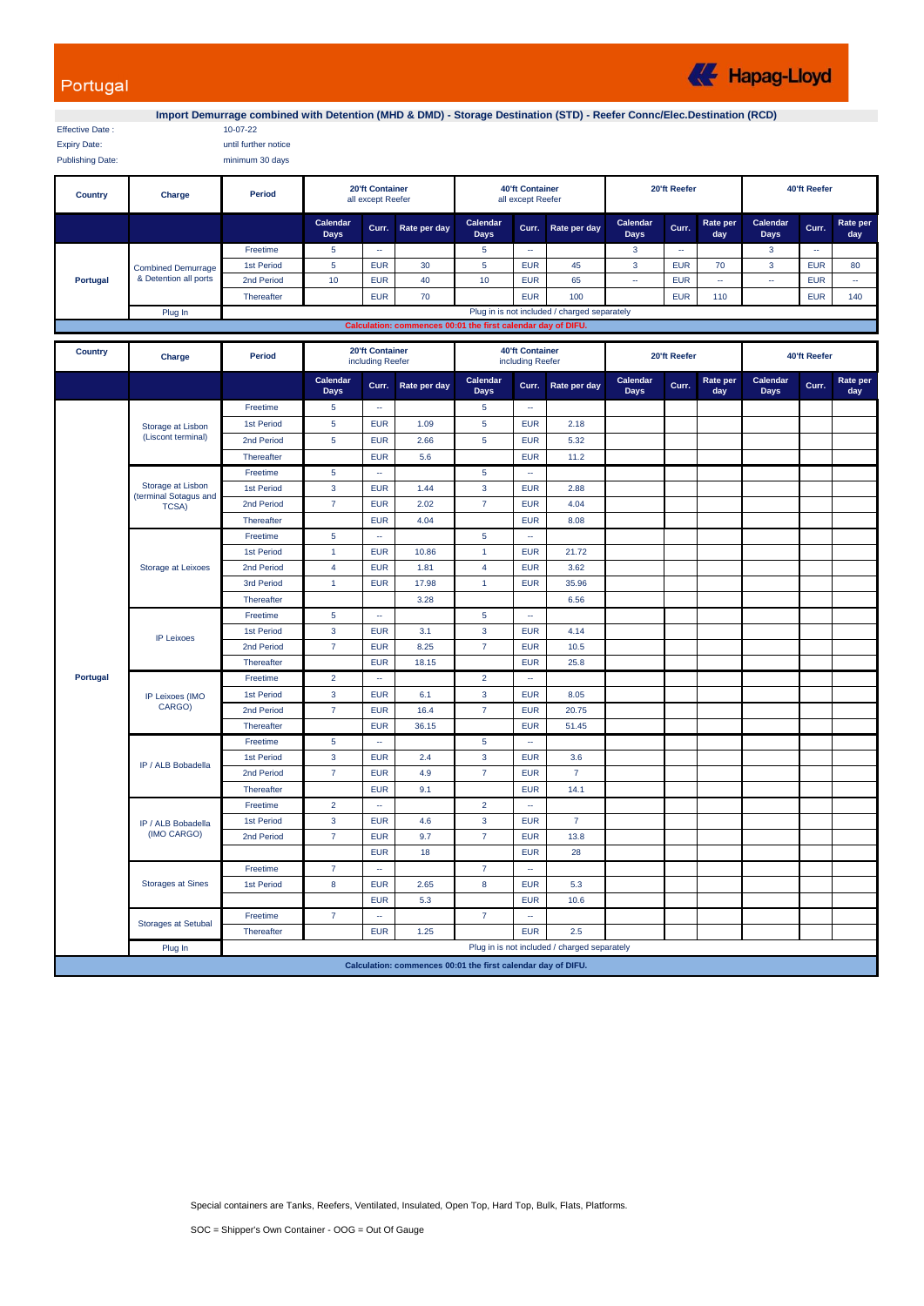## Portugal

**K** Hapag-Lloyd

Effective Date : 10-07-22

**Import Demurrage combined with Detention (MHD & DMD) - Storage Destination (STD) - Reefer Connc/Elec.Destination (RCD)**

| LIJOUVE DAIE.       | $117 - 117 - 22$     |
|---------------------|----------------------|
| <b>Expiry Date:</b> | until further notice |

Publishing Date: minimum 30 days

| Country                                                      | Charge                                      | Period     | <b>20'ft Container</b><br>all except Reefer  |            |              | <b>40'ft Container</b><br>all except Reefer |            |              | 20'ft Reefer     |            |                 | 40'ft Reefer            |              |                 |
|--------------------------------------------------------------|---------------------------------------------|------------|----------------------------------------------|------------|--------------|---------------------------------------------|------------|--------------|------------------|------------|-----------------|-------------------------|--------------|-----------------|
|                                                              |                                             |            | Calendar<br>Days                             | Curr.      | Rate per day | Calendar<br><b>Days</b>                     | Curr.      | Rate per day | Calendar<br>Days | Curr.      | Rate per<br>day | Calendar<br><b>Days</b> | Curr.        | Rate per<br>day |
| Portugal                                                     | Combined Demurrage<br>& Detention all ports | Freetime   |                                              | --         |              |                                             | --         |              | 3                | --         |                 |                         | <b>COLUM</b> |                 |
|                                                              |                                             | 1st Period |                                              | <b>EUR</b> | 30           |                                             | <b>EUR</b> | 45           | 3                | <b>EUR</b> | 70              |                         | <b>EUR</b>   | 80              |
|                                                              |                                             | 2nd Period | 10                                           | <b>EUR</b> | 40           | 10                                          | <b>EUR</b> | 65           | ÷                | <b>EUR</b> | -               |                         | <b>EUR</b>   | --              |
|                                                              |                                             | Thereafter |                                              | <b>EUR</b> | 70           |                                             | <b>EUR</b> | 100          |                  | <b>EUR</b> | 110             |                         | <b>EUR</b>   | 140             |
|                                                              | Plug In                                     |            | Plug in is not included / charged separately |            |              |                                             |            |              |                  |            |                 |                         |              |                 |
| Calculation: commences 00:01 the first calendar day of DIFU. |                                             |            |                                              |            |              |                                             |            |              |                  |            |                 |                         |              |                 |

| <b>Country</b> | Charge                                                       | Period     | 20'ft Container<br>including Reefer |                             |              | <b>40'ft Container</b><br>including Reefer |                             |                                              | 20'ft Reefer            |       |                 | 40'ft Reefer            |       |                 |
|----------------|--------------------------------------------------------------|------------|-------------------------------------|-----------------------------|--------------|--------------------------------------------|-----------------------------|----------------------------------------------|-------------------------|-------|-----------------|-------------------------|-------|-----------------|
|                |                                                              |            | Calendar<br><b>Days</b>             | Curr.                       | Rate per day | Calendar<br><b>Days</b>                    | Curr.                       | Rate per day                                 | Calendar<br><b>Days</b> | Curr. | Rate per<br>day | Calendar<br><b>Days</b> | Curr. | Rate per<br>day |
|                | Storage at Lisbon<br>(Liscont terminal)                      | Freetime   | 5                                   | $\sim$                      |              | 5                                          | $\sim$                      |                                              |                         |       |                 |                         |       |                 |
|                |                                                              | 1st Period | 5                                   | <b>EUR</b>                  | 1.09         | 5                                          | <b>EUR</b>                  | 2.18                                         |                         |       |                 |                         |       |                 |
|                |                                                              | 2nd Period | 5                                   | <b>EUR</b>                  | 2.66         | 5                                          | <b>EUR</b>                  | 5.32                                         |                         |       |                 |                         |       |                 |
|                |                                                              | Thereafter |                                     | <b>EUR</b>                  | 5.6          |                                            | <b>EUR</b>                  | 11.2                                         |                         |       |                 |                         |       |                 |
|                | Storage at Lisbon<br>(terminal Sotagus and<br><b>TCSA)</b>   | Freetime   | 5                                   | $\sim$                      |              | 5                                          | $\sim$                      |                                              |                         |       |                 |                         |       |                 |
|                |                                                              | 1st Period | 3                                   | <b>EUR</b>                  | 1.44         | $\mathbf{3}$                               | <b>EUR</b>                  | 2.88                                         |                         |       |                 |                         |       |                 |
|                |                                                              | 2nd Period | $\overline{7}$                      | <b>EUR</b>                  | 2.02         | $\overline{7}$                             | <b>EUR</b>                  | 4.04                                         |                         |       |                 |                         |       |                 |
|                |                                                              | Thereafter |                                     | <b>EUR</b>                  | 4.04         |                                            | <b>EUR</b>                  | 8.08                                         |                         |       |                 |                         |       |                 |
|                |                                                              | Freetime   | 5                                   | $\overline{\phantom{a}}$    |              | 5                                          | $\sim$                      |                                              |                         |       |                 |                         |       |                 |
|                |                                                              | 1st Period | $\mathbf{1}$                        | <b>EUR</b>                  | 10.86        | $\mathbf{1}$                               | <b>EUR</b>                  | 21.72                                        |                         |       |                 |                         |       |                 |
|                | <b>Storage at Leixoes</b>                                    | 2nd Period | 4                                   | <b>EUR</b>                  | 1.81         | $\overline{4}$                             | <b>EUR</b>                  | 3.62                                         |                         |       |                 |                         |       |                 |
|                |                                                              | 3rd Period | $\mathbf{1}$                        | <b>EUR</b>                  | 17.98        | $\mathbf{1}$                               | <b>EUR</b>                  | 35.96                                        |                         |       |                 |                         |       |                 |
|                |                                                              | Thereafter |                                     |                             | 3.28         |                                            |                             | 6.56                                         |                         |       |                 |                         |       |                 |
|                |                                                              | Freetime   | 5                                   | ÷.                          |              | $\overline{5}$                             | $\mathbb{Z}^2$              |                                              |                         |       |                 |                         |       |                 |
|                | <b>IP Leixoes</b>                                            | 1st Period | 3                                   | <b>EUR</b>                  | 3.1          | $\mathbf{3}$                               | <b>EUR</b>                  | 4.14                                         |                         |       |                 |                         |       |                 |
|                |                                                              | 2nd Period | $\overline{7}$                      | <b>EUR</b>                  | 8.25         | $\overline{7}$                             | <b>EUR</b>                  | 10.5                                         |                         |       |                 |                         |       |                 |
|                |                                                              | Thereafter |                                     | <b>EUR</b>                  | 18.15        |                                            | <b>EUR</b>                  | 25.8                                         |                         |       |                 |                         |       |                 |
| Portugal       | <b>IP Leixoes (IMO</b><br>CARGO)                             | Freetime   | $\overline{2}$                      | $\overline{\phantom{a}}$    |              | $\overline{2}$                             | $\sim$                      |                                              |                         |       |                 |                         |       |                 |
|                |                                                              | 1st Period | $\overline{3}$                      | <b>EUR</b>                  | 6.1          | $\mathbf{3}$                               | <b>EUR</b>                  | 8.05                                         |                         |       |                 |                         |       |                 |
|                |                                                              | 2nd Period | $\overline{7}$                      | <b>EUR</b>                  | 16.4         | $\overline{7}$                             | <b>EUR</b>                  | 20.75                                        |                         |       |                 |                         |       |                 |
|                |                                                              | Thereafter |                                     | <b>EUR</b>                  | 36.15        |                                            | <b>EUR</b>                  | 51.45                                        |                         |       |                 |                         |       |                 |
|                | IP / ALB Bobadella                                           | Freetime   | 5                                   | ÷.                          |              | 5                                          | $\sim$                      |                                              |                         |       |                 |                         |       |                 |
|                |                                                              | 1st Period | $\mathbf{3}$                        | <b>EUR</b>                  | 2.4          | $\mathbf{3}$                               | <b>EUR</b>                  | 3.6                                          |                         |       |                 |                         |       |                 |
|                |                                                              | 2nd Period | $\overline{7}$                      | <b>EUR</b>                  | 4.9          | $\overline{7}$                             | <b>EUR</b>                  | $\overline{7}$                               |                         |       |                 |                         |       |                 |
|                |                                                              | Thereafter |                                     | <b>EUR</b>                  | 9.1          |                                            | <b>EUR</b>                  | 14.1                                         |                         |       |                 |                         |       |                 |
|                | IP / ALB Bobadella<br>(IMO CARGO)                            | Freetime   | $\overline{2}$                      | ÷.                          |              | $\overline{2}$                             | $\mathbf{r}$                |                                              |                         |       |                 |                         |       |                 |
|                |                                                              | 1st Period | $\mathbf{3}$                        | <b>EUR</b>                  | 4.6          | $\overline{3}$                             | <b>EUR</b>                  | $\overline{7}$                               |                         |       |                 |                         |       |                 |
|                |                                                              | 2nd Period | $\overline{7}$                      | <b>EUR</b>                  | 9.7          | $\overline{7}$                             | <b>EUR</b>                  | 13.8                                         |                         |       |                 |                         |       |                 |
|                |                                                              |            |                                     | <b>EUR</b>                  | 18           |                                            | <b>EUR</b>                  | 28                                           |                         |       |                 |                         |       |                 |
|                | <b>Storages at Sines</b>                                     | Freetime   | $\overline{7}$                      | $\mathcal{L}_{\mathcal{A}}$ |              | $\overline{7}$                             | $\mathcal{L}_{\mathcal{A}}$ |                                              |                         |       |                 |                         |       |                 |
|                |                                                              | 1st Period | 8                                   | <b>EUR</b>                  | 2.65         | 8                                          | <b>EUR</b>                  | 5.3                                          |                         |       |                 |                         |       |                 |
|                |                                                              |            |                                     | <b>EUR</b>                  | 5.3          |                                            | <b>EUR</b>                  | 10.6                                         |                         |       |                 |                         |       |                 |
|                | <b>Storages at Setubal</b>                                   | Freetime   | $\overline{7}$                      | $\sim$                      |              | $\overline{7}$                             | $\mathcal{L}_{\mathcal{A}}$ |                                              |                         |       |                 |                         |       |                 |
|                |                                                              | Thereafter |                                     | <b>EUR</b>                  | 1.25         |                                            | <b>EUR</b>                  | 2.5                                          |                         |       |                 |                         |       |                 |
|                | Plug In                                                      |            |                                     |                             |              |                                            |                             | Plug in is not included / charged separately |                         |       |                 |                         |       |                 |
|                | Calculation: commences 00:01 the first calendar day of DIFU. |            |                                     |                             |              |                                            |                             |                                              |                         |       |                 |                         |       |                 |